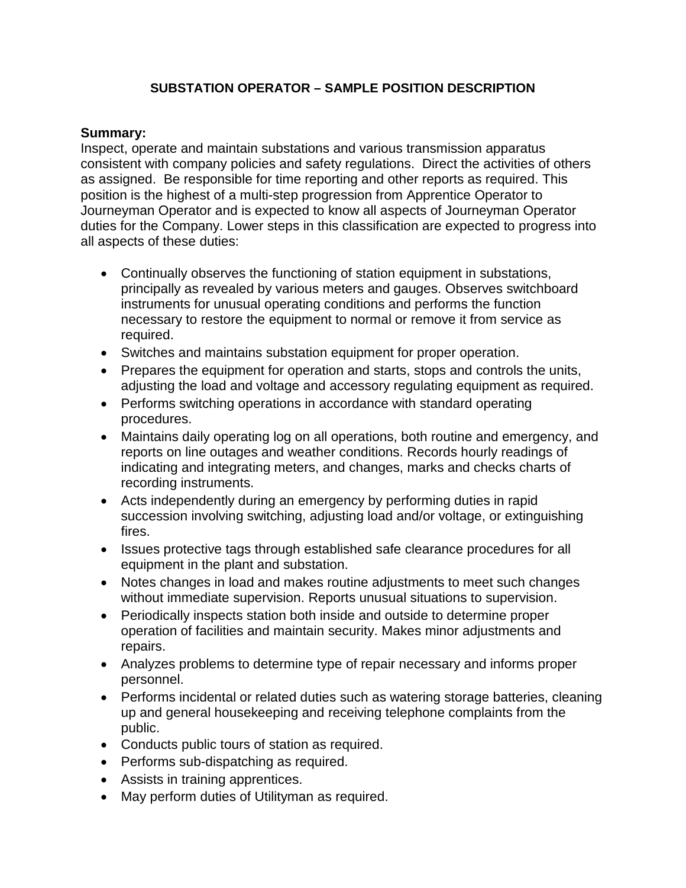### **SUBSTATION OPERATOR – SAMPLE POSITION DESCRIPTION**

#### **Summary:**

Inspect, operate and maintain substations and various transmission apparatus consistent with company policies and safety regulations. Direct the activities of others as assigned. Be responsible for time reporting and other reports as required. This position is the highest of a multi-step progression from Apprentice Operator to Journeyman Operator and is expected to know all aspects of Journeyman Operator duties for the Company. Lower steps in this classification are expected to progress into all aspects of these duties:

- Continually observes the functioning of station equipment in substations, principally as revealed by various meters and gauges. Observes switchboard instruments for unusual operating conditions and performs the function necessary to restore the equipment to normal or remove it from service as required.
- Switches and maintains substation equipment for proper operation.
- Prepares the equipment for operation and starts, stops and controls the units, adjusting the load and voltage and accessory regulating equipment as required.
- Performs switching operations in accordance with standard operating procedures.
- Maintains daily operating log on all operations, both routine and emergency, and reports on line outages and weather conditions. Records hourly readings of indicating and integrating meters, and changes, marks and checks charts of recording instruments.
- Acts independently during an emergency by performing duties in rapid succession involving switching, adjusting load and/or voltage, or extinguishing fires.
- Issues protective tags through established safe clearance procedures for all equipment in the plant and substation.
- Notes changes in load and makes routine adjustments to meet such changes without immediate supervision. Reports unusual situations to supervision.
- Periodically inspects station both inside and outside to determine proper operation of facilities and maintain security. Makes minor adjustments and repairs.
- Analyzes problems to determine type of repair necessary and informs proper personnel.
- Performs incidental or related duties such as watering storage batteries, cleaning up and general housekeeping and receiving telephone complaints from the public.
- Conducts public tours of station as required.
- Performs sub-dispatching as required.
- Assists in training apprentices.
- May perform duties of Utilityman as required.